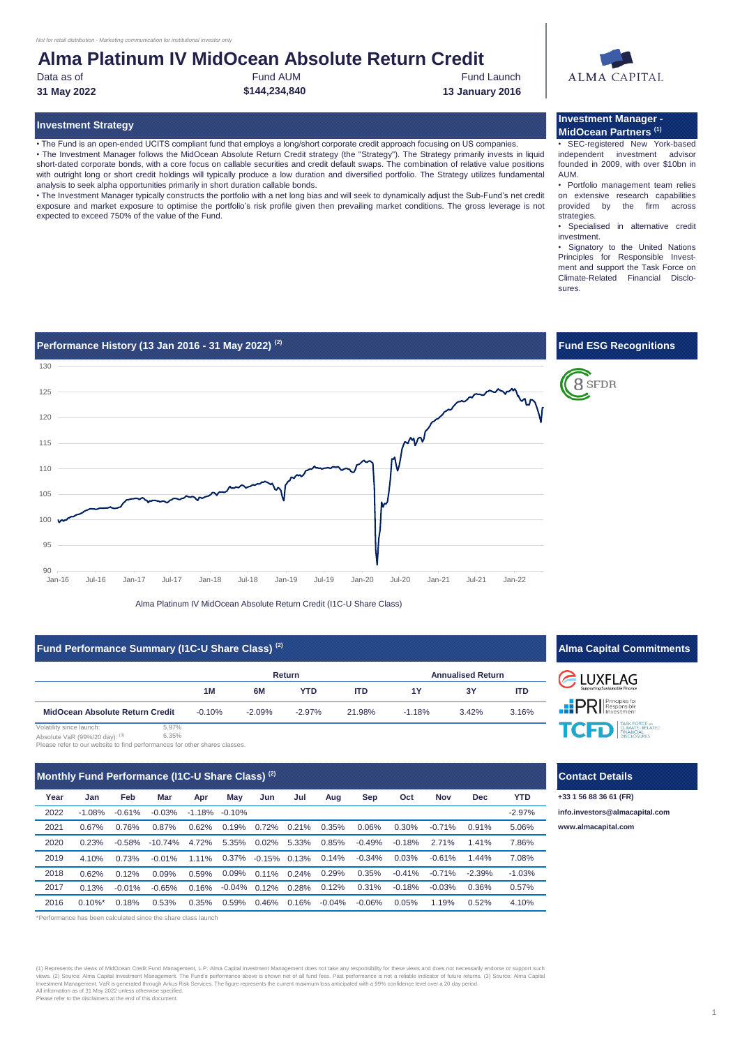# **Alma Platinum IV MidOcean Absolute Return Credit**

Data as of **Example 20** Fund AUM Fund Launch **Fund Launch** Fund Launch **31 May 2022 \$144,234,840 13 January 2016**

• The Fund is an open-ended UCITS compliant fund that employs a long/short corporate credit approach focusing on US companies. • The Investment Manager follows the MidOcean Absolute Return Credit strategy (the "Strategy"). The Strategy primarily invests in liquid

short-dated corporate bonds, with a core focus on callable securities and credit default swaps. The combination of relative value positions with outright long or short credit holdings will typically produce a low duration and diversified portfolio. The Strategy utilizes fundamental analysis to seek alpha opportunities primarily in short duration callable bonds. • The Investment Manager typically constructs the portfolio with a net long bias and will seek to dynamically adjust the Sub-Fund's net credit

exposure and market exposure to optimise the portfolio's risk profile given then prevailing market conditions. The gross leverage is not expected to exceed 750% of the value of the Fund.



#### **Investment Strategy Investment Manager - MidOcean Partners (1)**

• SEC-registered New York-based independent investment advisor founded in 2009, with over \$10bn in AUM.

• Portfolio management team relies on extensive research capabilities provided by the firm across strategies.

• Specialised in alternative credit investment.

• Signatory to the United Nations Principles for Responsible Investment and support the Task Force on Climate-Related Financial Disclosures.



Alma Platinum IV MidOcean Absolute Return Credit (I1C-U Share Class)

### **Fund Performance Summary (I1C-U Share Class)** <sup>(2)</sup> **Alma Capital Commitments Alma Capital Commitments**

|                                 |       |          |           | Return     | <b>Annualised Return</b> |          |       |            |
|---------------------------------|-------|----------|-----------|------------|--------------------------|----------|-------|------------|
|                                 |       | 1M       | 6M        | <b>YTD</b> | <b>ITD</b>               | 1Y       | 3Υ    | <b>ITD</b> |
| MidOcean Absolute Return Credit |       | $-0.10%$ | $-2.09\%$ | $-2.97\%$  | 21.98%                   | $-1.18%$ | 3.42% | 3.16%      |
| Volatility since launch:        | 5.97% |          |           |            |                          |          |       |            |

6.35% Absolute VaR (99%/20 day): (3)

Please refer to our website to find performances for other shares classes.

## **Monthly Fund Performance (I1C-U Share Class) (2)**

| Year | Jan        | Feb       | Mar        | Apr      | May               | Jun                   | Jul | Aug                      | Sep       | Oct      | Nov       | Dec       | <b>YTD</b> |
|------|------------|-----------|------------|----------|-------------------|-----------------------|-----|--------------------------|-----------|----------|-----------|-----------|------------|
| 2022 | $-1.08\%$  | $-0.61%$  | $-0.03\%$  |          | $-1.18\% -0.10\%$ |                       |     |                          |           |          |           |           | $-2.97%$   |
| 2021 | $0.67\%$   | 0.76%     | 0.87%      | 0.62%    |                   | 0.19% 0.72% 0.21%     |     | 0.35%                    | 0.06%     | 0.30%    | $-0.71\%$ | 0.91%     | 5.06%      |
| 2020 | 0.23%      | $-0.58%$  | $-10.74\%$ | 4.72%    |                   | 5.35% 0.02% 5.33%     |     | $0.85\%$                 | $-0.49%$  | $-0.18%$ | 2.71%     | 1.41%     | 7.86%      |
| 2019 | 4 10%      | 0.73%     | $-0.01\%$  | $1.11\%$ |                   |                       |     | 0.37% -0.15% 0.13% 0.14% | $-0.34\%$ | 0.03%    | $-0.61\%$ | $1.44\%$  | 7.08%      |
| 2018 | 0.62%      | 0.12%     | 0.09%      | 0.59%    |                   | 0.09% 0.11% 0.24%     |     | 0.29%                    | 0.35%     | $-0.41%$ | $-0.71\%$ | $-2.39\%$ | $-1.03%$   |
| 2017 | 0.13%      | $-0.01\%$ | $-0.65%$   | 0.16%    |                   | $-0.04\%$ 0.12% 0.28% |     | 0.12%                    | 0.31%     | $-0.18%$ | $-0.03\%$ | 0.36%     | 0.57%      |
| 2016 | $0.10\%$ * | 0.18%     | 0.53%      | 0.35%    |                   | 0.59% 0.46% 0.16%     |     | -0.04%                   | $-0.06\%$ | 0.05%    | 1.19%     | 0.52%     | 4.10%      |

\*Performance has been calculated since the share class launch

(1) Represents the views of MidOcean Credit Fund Management, L.P. Alma Capital Investment Management does not take any responsibility for these views and does not necessarily endorse or support s views. (2) Source: Alma Capital Investment Management. The Fund's performance above is shown net of all fund fees. Past performance is not a reliable indicator of future returns. (3) Source: Alma Capital<br>Investment Managem



8 SFDR

**ELUXFLAG PRI Responsible** TO TASK FORCE WE CUMATE-RELATED

### **Contact Details**

**[info.in](mailto:info.investors@almacapital.com)vestors@almacapital.com [www.a](http://www.almacapital.com/)lmacapital.com +33 1 56 88 36 61 (FR)**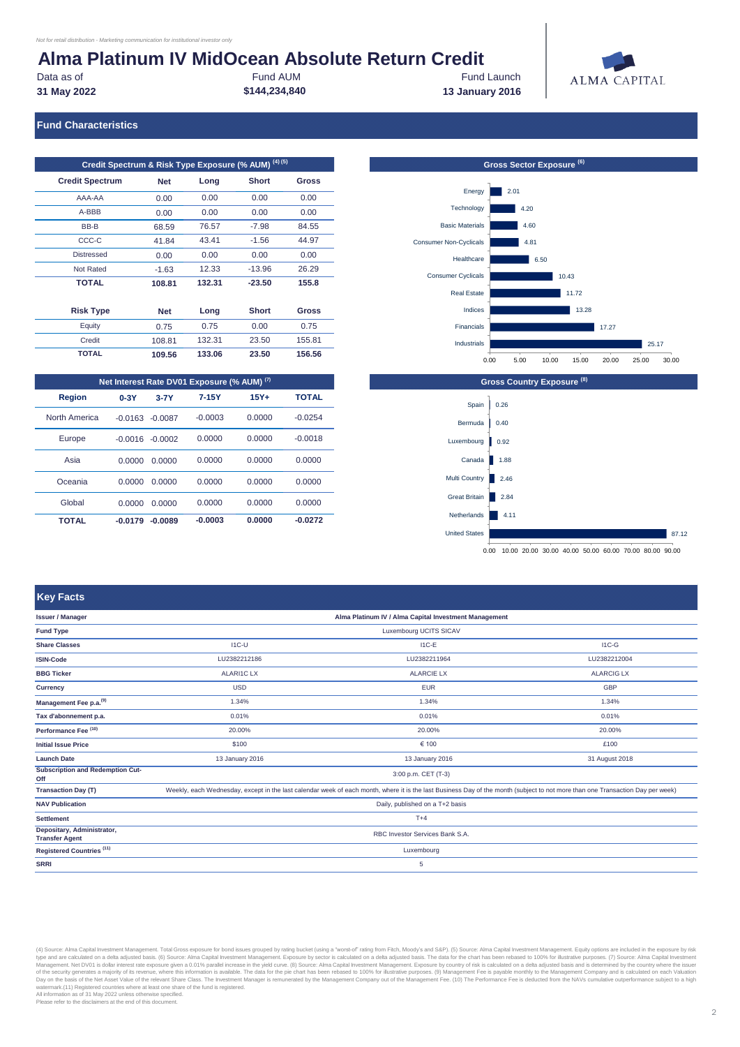# **Alma Platinum IV MidOcean Absolute Return Credit**<br>
Fund AUM

Data as of **Example 20** Fund AUM Fund Launch **Fund Launch** Fund Launch

**31 May 2022 \$144,234,840 13 January 2016**



### **Fund Characteristics**

| Credit Spectrum & Risk Type Exposure (% AUM) <sup>(4)(5)</sup> |            |        |              |              |  |  |  |
|----------------------------------------------------------------|------------|--------|--------------|--------------|--|--|--|
| <b>Credit Spectrum</b>                                         | <b>Net</b> | Long   | <b>Short</b> | <b>Gross</b> |  |  |  |
| AAA-AA                                                         | 0.00       | 0.00   | 0.00         | 0.00         |  |  |  |
| A-BBB                                                          | 0.00       | 0.00   | 0.00         | 0.00         |  |  |  |
| BB-B                                                           | 68.59      | 76.57  | $-7.98$      | 84.55        |  |  |  |
| CCC-C                                                          | 41.84      | 43.41  | $-1.56$      | 44.97        |  |  |  |
| <b>Distressed</b>                                              | 0.00       | 0.00   | 0.00         | 0.00         |  |  |  |
| Not Rated                                                      | $-1.63$    | 12.33  | $-13.96$     | 26.29        |  |  |  |
| <b>TOTAL</b>                                                   | 108.81     | 132.31 | $-23.50$     | 155.8        |  |  |  |
|                                                                |            |        |              |              |  |  |  |
| <b>Risk Type</b>                                               | <b>Net</b> | Long   | <b>Short</b> | Gross        |  |  |  |
| Equity                                                         | 0.75       | 0.75   | 0.00         | 0.75         |  |  |  |
| Credit                                                         | 108.81     | 132.31 | 23.50        | 155.81       |  |  |  |
| <b>TOTAL</b>                                                   | 109.56     | 133.06 | 23.50        | 156.56       |  |  |  |

| Net Interest Rate DV01 Exposure (% AUM) (7) |           |           |           |         |              |  |  |
|---------------------------------------------|-----------|-----------|-----------|---------|--------------|--|--|
| <b>Region</b>                               | $0-3Y$    | $3-7Y$    | $7 - 15Y$ | $15Y +$ | <b>TOTAL</b> |  |  |
| North America                               | $-0.0163$ | $-0.0087$ | $-0.0003$ | 0.0000  | $-0.0254$    |  |  |
| Europe                                      | $-0.0016$ | $-0.0002$ | 0.0000    | 0.0000  | $-0.0018$    |  |  |
| Asia                                        | 0.0000    | 0.0000    | 0.0000    | 0.0000  | 0.0000       |  |  |
| Oceania                                     | 0.0000    | 0.0000    | 0.0000    | 0.0000  | 0.0000       |  |  |
| Global                                      | 0.0000    | 0.0000    | 0.0000    | 0.0000  | 0.0000       |  |  |
| TOTAL                                       | $-0.0179$ | $-0.0089$ | $-0.0003$ | 0.0000  | $-0.0272$    |  |  |

#### **Gross Country Exposure (8) Gross Sector Exposure**  $^{(6)}$  $25.17$  $17.27$ 13.28  $11.72$  $10.43$ 6.50  $4.81$ 4.60  $4.20$ 2.01 Industrials Financials Indices Real Estate Consumer Cyclicals Healthcare Consumer Non-Cyclicals Basic Materials Technology Energy 0.00 5.00 10.00 15.00 20.00 25.00 30.00



0.00 10.00 20.00 30.00 40.00 50.00 60.00 70.00 80.00 90.00

### **Key Facts**

| <b>Issuer / Manager</b>                             |                                                                                                                                                                                | Alma Platinum IV / Alma Capital Investment Management |                   |  |  |  |
|-----------------------------------------------------|--------------------------------------------------------------------------------------------------------------------------------------------------------------------------------|-------------------------------------------------------|-------------------|--|--|--|
| <b>Fund Type</b>                                    |                                                                                                                                                                                | Luxembourg UCITS SICAV                                |                   |  |  |  |
| <b>Share Classes</b>                                | $IC-U$                                                                                                                                                                         | $IC-E$                                                | $IC-G$            |  |  |  |
| <b>ISIN-Code</b>                                    | LU2382212186                                                                                                                                                                   | LU2382211964                                          | LU2382212004      |  |  |  |
| <b>BBG Ticker</b>                                   | <b>ALARI1CLX</b>                                                                                                                                                               | <b>ALARCIE LX</b>                                     | <b>ALARCIG LX</b> |  |  |  |
| Currency                                            | <b>USD</b>                                                                                                                                                                     | <b>EUR</b>                                            | <b>GBP</b>        |  |  |  |
| Management Fee p.a. <sup>(9)</sup>                  | 1.34%                                                                                                                                                                          | 1.34%                                                 | 1.34%             |  |  |  |
| Tax d'abonnement p.a.                               | 0.01%                                                                                                                                                                          | 0.01%                                                 | 0.01%             |  |  |  |
| Performance Fee (10)                                | 20.00%                                                                                                                                                                         | 20.00%                                                | 20.00%            |  |  |  |
| <b>Initial Issue Price</b>                          | \$100                                                                                                                                                                          | € 100                                                 | £100              |  |  |  |
| <b>Launch Date</b>                                  | 13 January 2016                                                                                                                                                                | 13 January 2016                                       | 31 August 2018    |  |  |  |
| Subscription and Redemption Cut-<br>Off             |                                                                                                                                                                                | 3:00 p.m. CET (T-3)                                   |                   |  |  |  |
| <b>Transaction Day (T)</b>                          | Weekly, each Wednesday, except in the last calendar week of each month, where it is the last Business Day of the month (subject to not more than one Transaction Day per week) |                                                       |                   |  |  |  |
| <b>NAV Publication</b>                              | Daily, published on a T+2 basis                                                                                                                                                |                                                       |                   |  |  |  |
| <b>Settlement</b>                                   | $T+4$                                                                                                                                                                          |                                                       |                   |  |  |  |
| Depositary, Administrator,<br><b>Transfer Agent</b> | RBC Investor Services Bank S.A.                                                                                                                                                |                                                       |                   |  |  |  |
| Registered Countries <sup>(11)</sup>                | Luxembourg                                                                                                                                                                     |                                                       |                   |  |  |  |
| <b>SRRI</b>                                         |                                                                                                                                                                                | 5                                                     |                   |  |  |  |

(4) Source: Alma Capital Investment Management. Total Gross exposser posted by trains and menth of the Management Seculated on a delta adjusted basis. The Districtional investment Management Seculated on a delta adjusted b